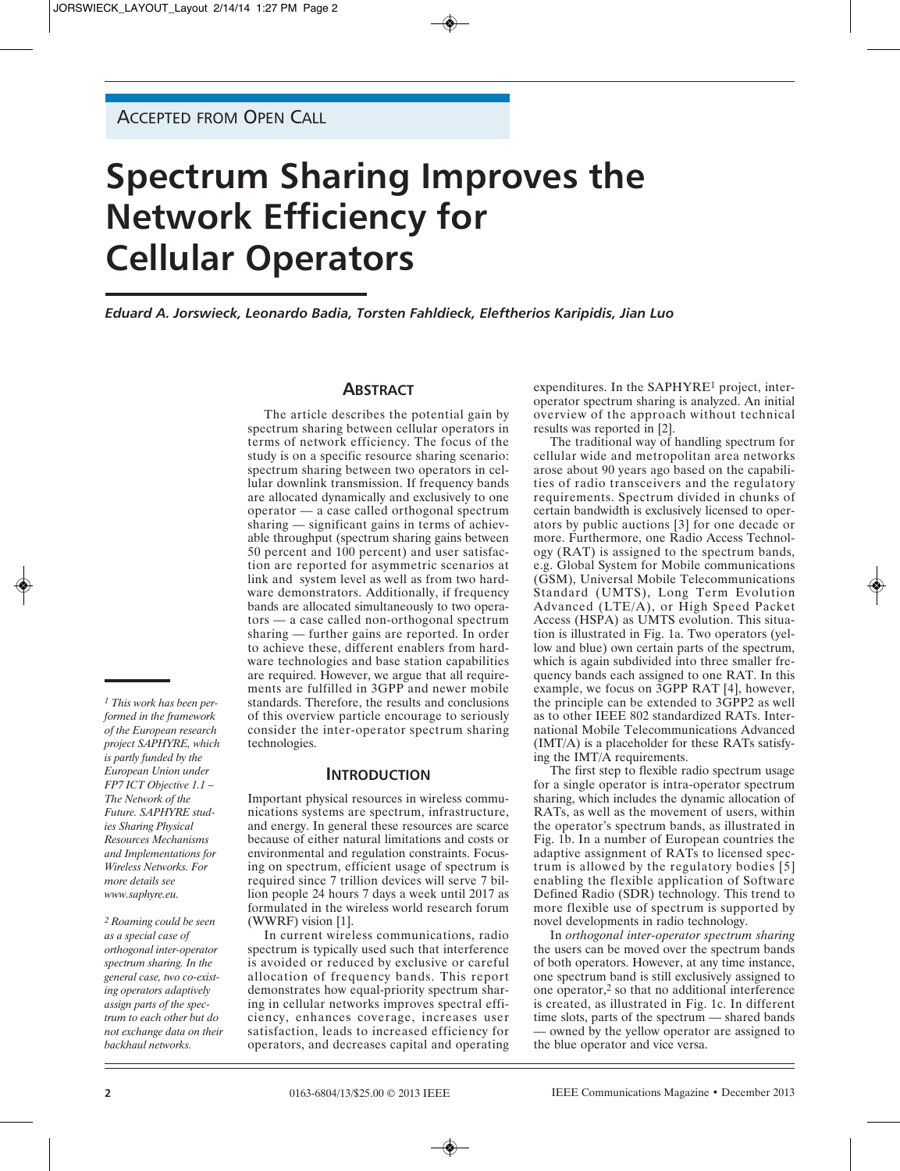ACCEPTED FROM OPEN CALL

# **Spectrum Sharing Improves the Network Efficiency for Cellular Operators**

*Eduard A. Jorswieck, Leonardo Badia, Torsten Fahldieck, Eleftherios Karipidis, Jian Luo*

## **ABSTRACT**

The article describes the potential gain by spectrum sharing between cellular operators in terms of network efficiency. The focus of the study is on a specific resource sharing scenario: spectrum sharing between two operators in cellular downlink transmission. If frequency bands are allocated dynamically and exclusively to one operator — a case called orthogonal spectrum sharing — significant gains in terms of achievable throughput (spectrum sharing gains between 50 percent and 100 percent) and user satisfaction are reported for asymmetric scenarios at link and system level as well as from two hardware demonstrators. Additionally, if frequency bands are allocated simultaneously to two operators — a case called non-orthogonal spectrum sharing — further gains are reported. In order to achieve these, different enablers from hardware technologies and base station capabilities are required. However, we argue that all requirements are fulfilled in 3GPP and newer mobile standards. Therefore, the results and conclusions of this overview particle encourage to seriously consider the inter-operator spectrum sharing technologies.

**INTRODUCTION**

Important physical resources in wireless communications systems are spectrum, infrastructure, and energy. In general these resources are scarce because of either natural limitations and costs or environmental and regulation constraints. Focusing on spectrum, efficient usage of spectrum is required since 7 trillion devices will serve 7 billion people 24 hours 7 days a week until 2017 as formulated in the wireless world research forum (WWRF) vision [1].

In current wireless communications, radio spectrum is typically used such that interference is avoided or reduced by exclusive or careful allocation of frequency bands. This report demonstrates how equal-priority spectrum sharing in cellular networks improves spectral efficiency, enhances coverage, increases user satisfaction, leads to increased efficiency for operators, and decreases capital and operating expenditures. In the SAPHYRE<sup>1</sup> project, interoperator spectrum sharing is analyzed. An initial overview of the approach without technical results was reported in [2].

The traditional way of handling spectrum for cellular wide and metropolitan area networks arose about 90 years ago based on the capabilities of radio transceivers and the regulatory requirements. Spectrum divided in chunks of certain bandwidth is exclusively licensed to operators by public auctions [3] for one decade or more. Furthermore, one Radio Access Technology (RAT) is assigned to the spectrum bands, e.g. Global System for Mobile communications (GSM), Universal Mobile Telecommunications Standard (UMTS), Long Term Evolution Advanced (LTE/A), or High Speed Packet Access (HSPA) as UMTS evolution. This situation is illustrated in Fig. 1a. Two operators (yellow and blue) own certain parts of the spectrum, which is again subdivided into three smaller frequency bands each assigned to one RAT. In this example, we focus on 3GPP RAT [4], however, the principle can be extended to 3GPP2 as well as to other IEEE 802 standardized RATs. International Mobile Telecommunications Advanced (IMT/A) is a placeholder for these RATs satisfying the IMT/A requirements.

The first step to flexible radio spectrum usage for a single operator is intra-operator spectrum sharing, which includes the dynamic allocation of RATs, as well as the movement of users, within the operator's spectrum bands, as illustrated in Fig. 1b. In a number of European countries the adaptive assignment of RATs to licensed spectrum is allowed by the regulatory bodies [5] enabling the flexible application of Software Defined Radio (SDR) technology. This trend to more flexible use of spectrum is supported by novel developments in radio technology.

In *orthogonal inter-operator spectrum sharing* the users can be moved over the spectrum bands of both operators. However, at any time instance, one spectrum band is still exclusively assigned to one operator, <sup>2</sup> so that no additional interference is created, as illustrated in Fig. 1c. In different time slots, parts of the spectrum — shared bands — owned by the yellow operator are assigned to the blue operator and vice versa.

*formed in the framework of the European research project SAPHYRE, which is partly funded by the European Union under FP7 ICT Objective 1.1 – The Network of the Future. SAPHYRE studies Sharing Physical Resources Mechanisms and Implementations for Wireless Networks. For more details see*

*www.saphyre.eu.*

*<sup>1</sup> This work has been per-*

*<sup>2</sup> Roaming could be seen as a special case of orthogonal inter-operator spectrum sharing. In the general case, two co-existing operators adaptively assign parts of the spectrum to each other but do not exchange data on their backhaul networks.*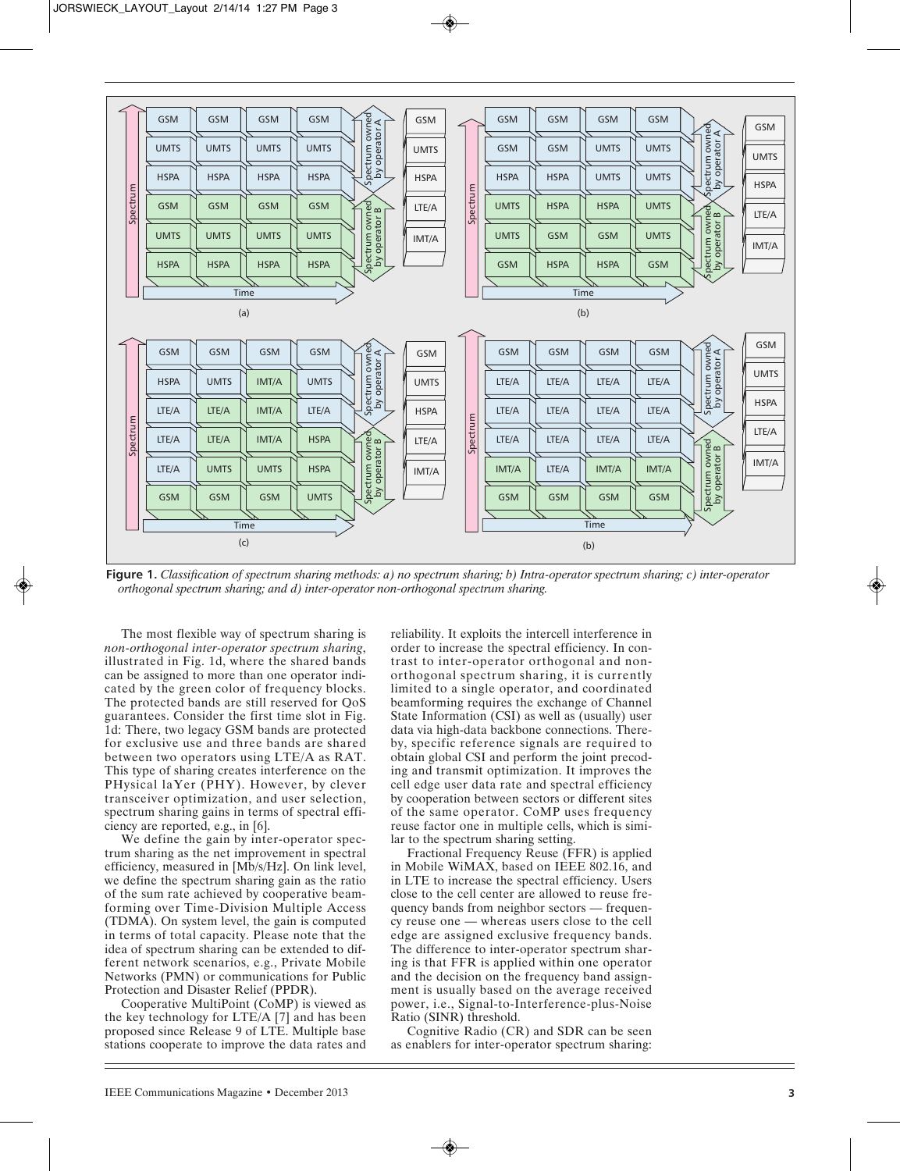

Figure 1. Classification of spectrum sharing methods: a) no spectrum sharing; b) Intra-operator spectrum sharing; c) inter-operator *orthogonal spectrum sharing; and d) inter-operator non-orthogonal spectrum sharing.*

The most flexible way of spectrum sharing is *non-orthogonal inter-operator spectrum sharing*, illustrated in Fig. 1d, where the shared bands can be assigned to more than one operator indicated by the green color of frequency blocks. The protected bands are still reserved for QoS guarantees. Consider the first time slot in Fig. 1d: There, two legacy GSM bands are protected for exclusive use and three bands are shared between two operators using LTE/A as RAT. This type of sharing creates interference on the PHysical laYer (PHY). However, by clever transceiver optimization, and user selection, spectrum sharing gains in terms of spectral efficiency are reported, e.g., in [6].

We define the gain by inter-operator spectrum sharing as the net improvement in spectral efficiency, measured in [Mb/s/Hz]. On link level, we define the spectrum sharing gain as the ratio of the sum rate achieved by cooperative beamforming over Time-Division Multiple Access (TDMA). On system level, the gain is computed in terms of total capacity. Please note that the idea of spectrum sharing can be extended to different network scenarios, e.g., Private Mobile Networks (PMN) or communications for Public Protection and Disaster Relief (PPDR).

Cooperative MultiPoint (CoMP) is viewed as the key technology for LTE/A [7] and has been proposed since Release 9 of LTE. Multiple base stations cooperate to improve the data rates and

reliability. It exploits the intercell interference in order to increase the spectral efficiency. In contrast to inter-operator orthogonal and nonorthogonal spectrum sharing, it is currently limited to a single operator, and coordinated beamforming requires the exchange of Channel State Information (CSI) as well as (usually) user data via high-data backbone connections. Thereby, specific reference signals are required to obtain global CSI and perform the joint precoding and transmit optimization. It improves the cell edge user data rate and spectral efficiency by cooperation between sectors or different sites of the same operator. CoMP uses frequency reuse factor one in multiple cells, which is similar to the spectrum sharing setting.

Fractional Frequency Reuse (FFR) is applied in Mobile WiMAX, based on IEEE 802.16, and in LTE to increase the spectral efficiency. Users close to the cell center are allowed to reuse frequency bands from neighbor sectors — frequency reuse one — whereas users close to the cell edge are assigned exclusive frequency bands. The difference to inter-operator spectrum sharing is that FFR is applied within one operator and the decision on the frequency band assignment is usually based on the average received power, i.e., Signal-to-Interference-plus-Noise Ratio (SINR) threshold.

Cognitive Radio (CR) and SDR can be seen as enablers for inter-operator spectrum sharing: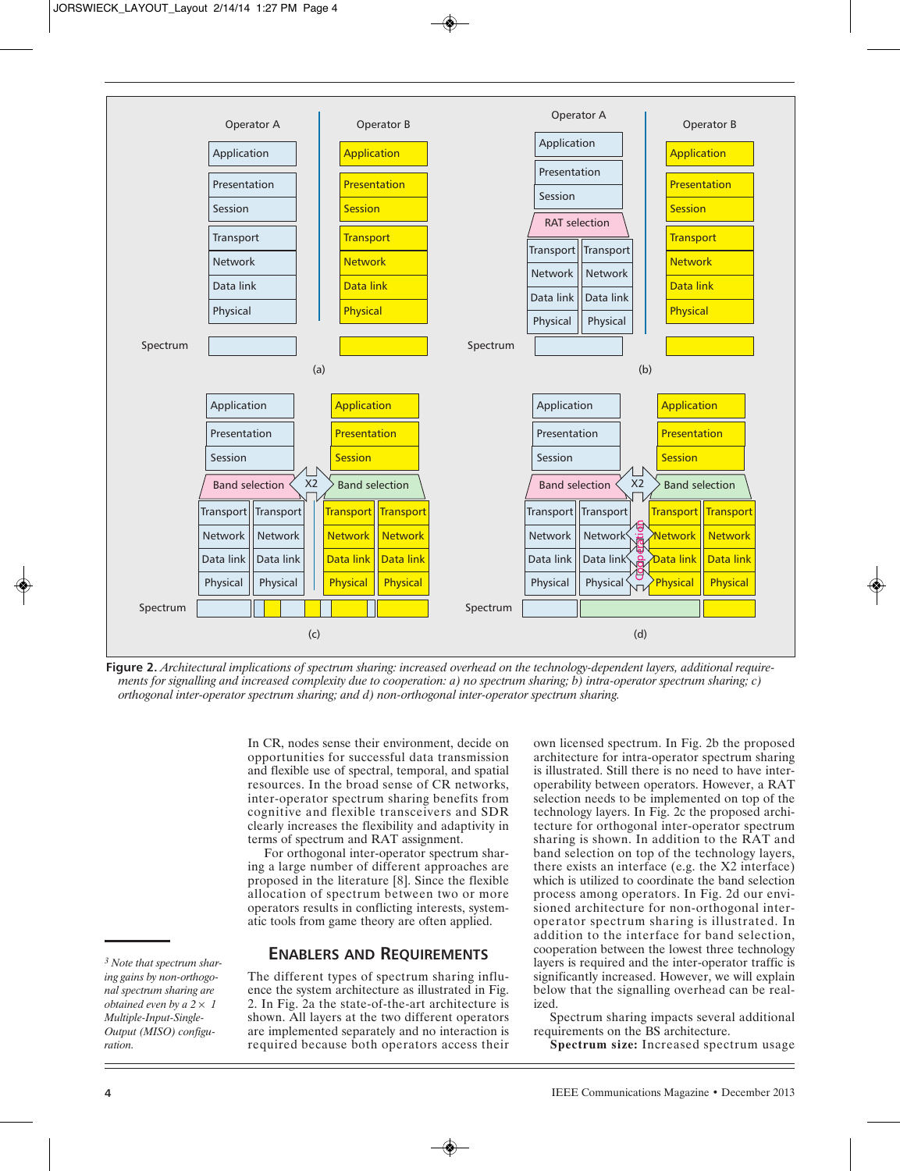

Figure 2. Architectural implications of spectrum sharing: increased overhead on the technology-dependent layers, additional requirements for signalling and increased complexity due to cooperation: a) no spectrum sharing; b) intra-operator spectrum sharing; c) *orthogonal inter-operator spectrum sharing; and d) non-orthogonal inter-operator spectrum sharing.*

In CR, nodes sense their environment, decide on opportunities for successful data transmission and flexible use of spectral, temporal, and spatial resources. In the broad sense of CR networks, inter-operator spectrum sharing benefits from cognitive and flexible transceivers and SDR clearly increases the flexibility and adaptivity in terms of spectrum and RAT assignment.

For orthogonal inter-operator spectrum sharing a large number of different approaches are proposed in the literature [8]. Since the flexible allocation of spectrum between two or more operators results in conflicting interests, systematic tools from game theory are often applied.

## **ENABLERS AND REQUIREMENTS**

The different types of spectrum sharing influence the system architecture as illustrated in Fig. 2. In Fig. 2a the state-of-the-art architecture is shown. All layers at the two different operators are implemented separately and no interaction is required because both operators access their

own licensed spectrum. In Fig. 2b the proposed architecture for intra-operator spectrum sharing is illustrated. Still there is no need to have interoperability between operators. However, a RAT selection needs to be implemented on top of the technology layers. In Fig. 2c the proposed architecture for orthogonal inter-operator spectrum sharing is shown. In addition to the RAT and band selection on top of the technology layers, there exists an interface (e.g. the X2 interface) which is utilized to coordinate the band selection process among operators. In Fig. 2d our envisioned architecture for non-orthogonal interoperator spectrum sharing is illustrated. In addition to the interface for band selection, cooperation between the lowest three technology layers is required and the inter-operator traffic is significantly increased. However, we will explain below that the signalling overhead can be realized.

Spectrum sharing impacts several additional requirements on the BS architecture.

**Spectrum size:** Increased spectrum usage

*<sup>3</sup> Note that spectrum sharing gains by non-orthogonal spectrum sharing are obtained even by*  $a \overline{2} \times 1$ *Multiple-Input-Single-Output (MISO) configuration.*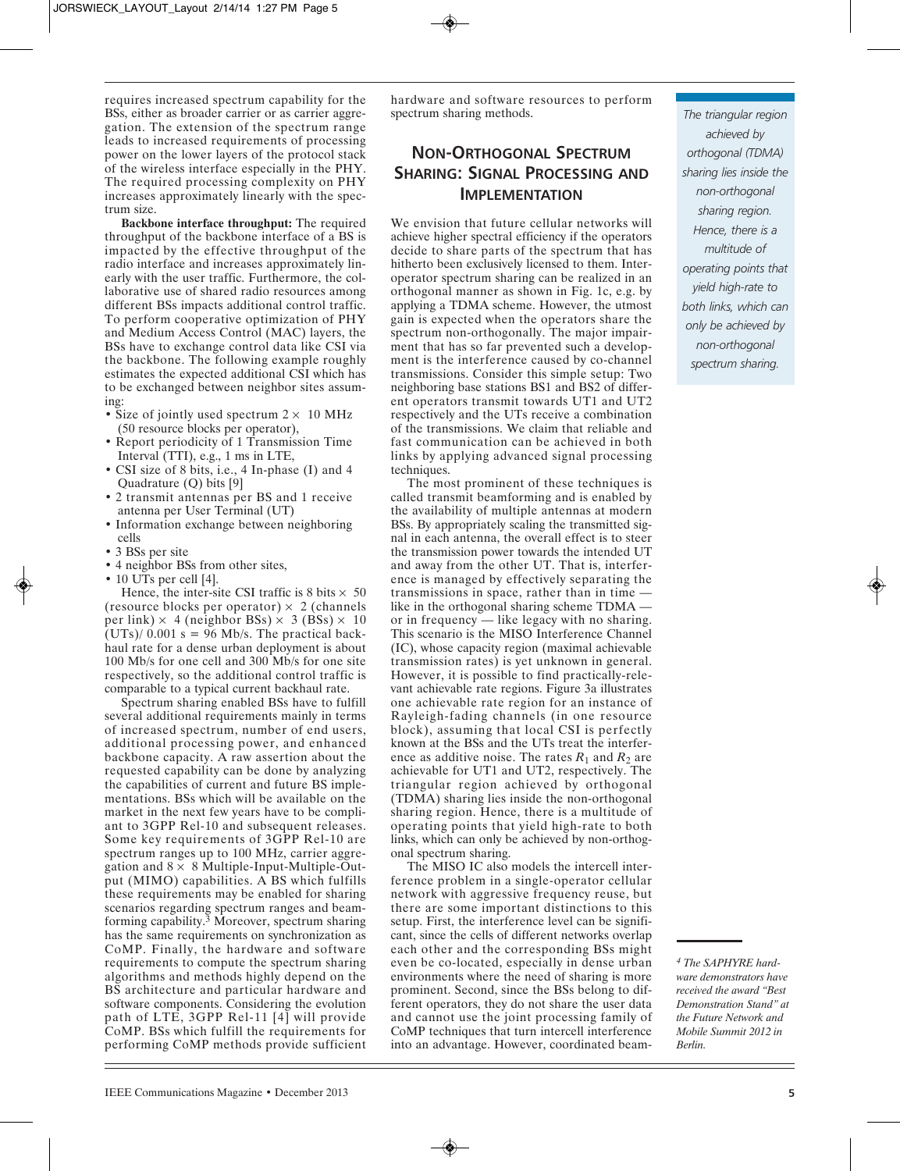requires increased spectrum capability for the BSs, either as broader carrier or as carrier aggregation. The extension of the spectrum range leads to increased requirements of processing power on the lower layers of the protocol stack of the wireless interface especially in the PHY. The required processing complexity on PHY increases approximately linearly with the spectrum size.

**Backbone interface throughput:** The required throughput of the backbone interface of a BS is impacted by the effective throughput of the radio interface and increases approximately linearly with the user traffic. Furthermore, the collaborative use of shared radio resources among different BSs impacts additional control traffic. To perform cooperative optimization of PHY and Medium Access Control (MAC) layers, the BSs have to exchange control data like CSI via the backbone. The following example roughly estimates the expected additional CSI which has to be exchanged between neighbor sites assuming:

- Size of jointly used spectrum  $2 \times 10$  MHz (50 resource blocks per operator),
- Report periodicity of 1 Transmission Time Interval (TTI), e.g., 1 ms in LTE,
- CSI size of 8 bits, i.e., 4 In-phase (I) and 4 Quadrature (Q) bits [9]
- 2 transmit antennas per BS and 1 receive antenna per User Terminal (UT)
- Information exchange between neighboring cells
- 3 BSs per site
- 4 neighbor BSs from other sites,
- 10 UTs per cell [4].

Hence, the inter-site CSI traffic is 8 bits  $\times$  50 (resource blocks per operator)  $\times$  2 (channels per link)  $\times$  4 (neighbor BSs)  $\times$  3 (BSs)  $\times$  10  $(UTs)/ 0.001 s = 96 Mb/s.$  The practical backhaul rate for a dense urban deployment is about 100 Mb/s for one cell and 300 Mb/s for one site respectively, so the additional control traffic is comparable to a typical current backhaul rate.

Spectrum sharing enabled BSs have to fulfill several additional requirements mainly in terms of increased spectrum, number of end users, additional processing power, and enhanced backbone capacity. A raw assertion about the requested capability can be done by analyzing the capabilities of current and future BS implementations. BSs which will be available on the market in the next few years have to be compliant to 3GPP Rel-10 and subsequent releases. Some key requirements of 3GPP Rel-10 are spectrum ranges up to 100 MHz, carrier aggregation and  $8 \times 8$  Multiple-Input-Multiple-Output (MIMO) capabilities. A BS which fulfills these requirements may be enabled for sharing scenarios regarding spectrum ranges and beamforming capability. <sup>3</sup> Moreover, spectrum sharing has the same requirements on synchronization as CoMP. Finally, the hardware and software requirements to compute the spectrum sharing algorithms and methods highly depend on the BS architecture and particular hardware and software components. Considering the evolution path of LTE, 3GPP Rel-11 [4] will provide CoMP. BSs which fulfill the requirements for performing CoMP methods provide sufficient

hardware and software resources to perform spectrum sharing methods.

# **NON-ORTHOGONAL SPECTRUM SHARING: SIGNAL PROCESSING AND IMPLEMENTATION**

We envision that future cellular networks will achieve higher spectral efficiency if the operators decide to share parts of the spectrum that has hitherto been exclusively licensed to them. Interoperator spectrum sharing can be realized in an orthogonal manner as shown in Fig. 1c, e.g. by applying a TDMA scheme. However, the utmost gain is expected when the operators share the spectrum non-orthogonally. The major impairment that has so far prevented such a development is the interference caused by co-channel transmissions. Consider this simple setup: Two neighboring base stations BS1 and BS2 of different operators transmit towards UT1 and UT2 respectively and the UTs receive a combination of the transmissions. We claim that reliable and fast communication can be achieved in both links by applying advanced signal processing techniques.

The most prominent of these techniques is called transmit beamforming and is enabled by the availability of multiple antennas at modern BSs. By appropriately scaling the transmitted signal in each antenna, the overall effect is to steer the transmission power towards the intended UT and away from the other UT. That is, interference is managed by effectively separating the transmissions in space, rather than in time like in the orthogonal sharing scheme TDMA or in frequency — like legacy with no sharing. This scenario is the MISO Interference Channel (IC), whose capacity region (maximal achievable transmission rates) is yet unknown in general. However, it is possible to find practically-relevant achievable rate regions. Figure 3a illustrates one achievable rate region for an instance of Rayleigh-fading channels (in one resource block), assuming that local CSI is perfectly known at the BSs and the UTs treat the interference as additive noise. The rates  $R_1$  and  $R_2$  are achievable for UT1 and UT2, respectively. The triangular region achieved by orthogonal (TDMA) sharing lies inside the non-orthogonal sharing region. Hence, there is a multitude of operating points that yield high-rate to both links, which can only be achieved by non-orthogonal spectrum sharing.

The MISO IC also models the intercell interference problem in a single-operator cellular network with aggressive frequency reuse, but there are some important distinctions to this setup. First, the interference level can be significant, since the cells of different networks overlap each other and the corresponding BSs might even be co-located, especially in dense urban environments where the need of sharing is more prominent. Second, since the BSs belong to different operators, they do not share the user data and cannot use the joint processing family of CoMP techniques that turn intercell interference into an advantage. However, coordinated beam-

*The triangular region achieved by orthogonal (TDMA) sharing lies inside the non-orthogonal sharing region. Hence, there is a multitude of operating points that yield high-rate to both links, which can only be achieved by non-orthogonal spectrum sharing.*

*<sup>4</sup> The SAPHYRE hardware demonstrators have received the award "Best Demonstration Stand" at the Future Network and Mobile Summit 2012 in Berlin.*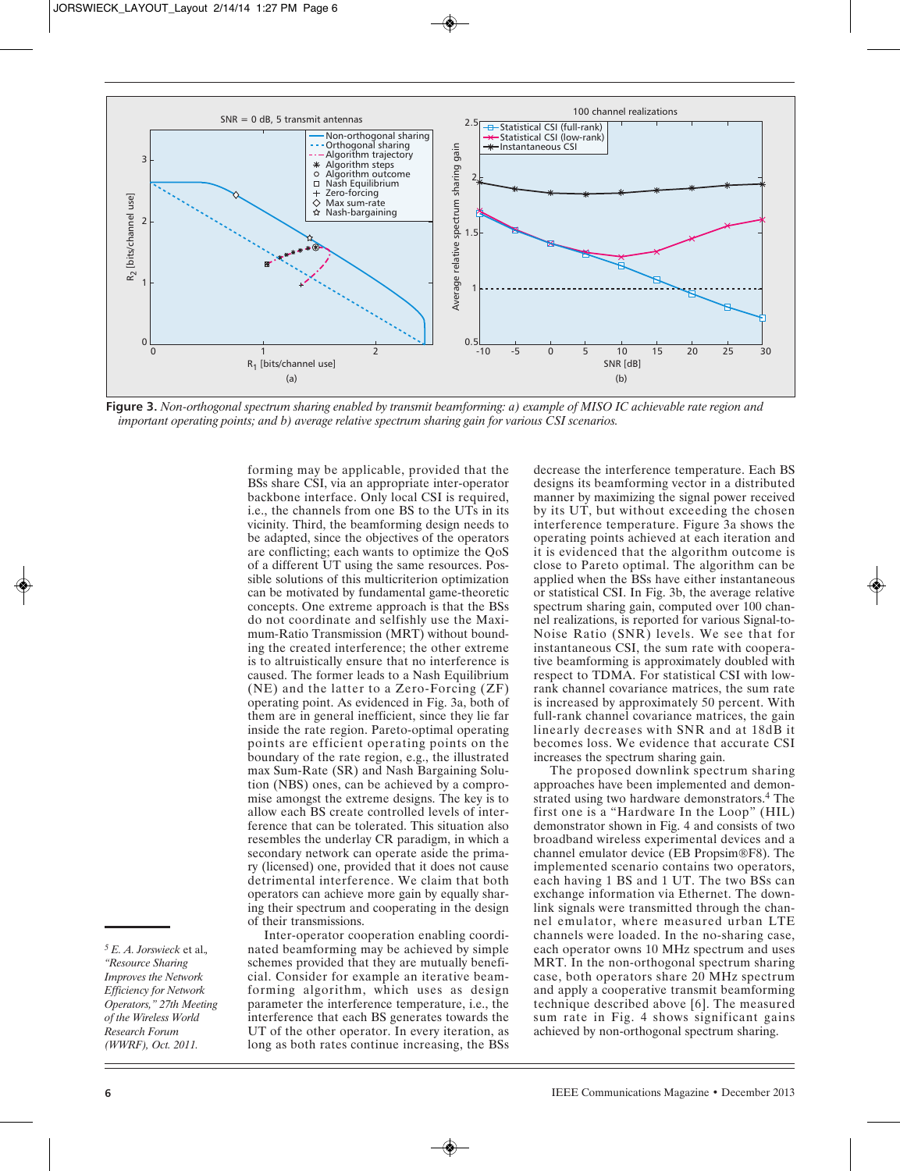

Figure 3. Non-orthogonal spectrum sharing enabled by transmit beamforming: a) example of MISO IC achievable rate region and *important operating points; and b) average relative spectrum sharing gain for various CSI scenarios.*

forming may be applicable, provided that the BSs share CSI, via an appropriate inter-operator backbone interface. Only local CSI is required, i.e., the channels from one BS to the UTs in its vicinity. Third, the beamforming design needs to be adapted, since the objectives of the operators are conflicting; each wants to optimize the QoS of a different UT using the same resources. Possible solutions of this multicriterion optimization can be motivated by fundamental game-theoretic concepts. One extreme approach is that the BSs do not coordinate and selfishly use the Maximum-Ratio Transmission (MRT) without bounding the created interference; the other extreme is to altruistically ensure that no interference is caused. The former leads to a Nash Equilibrium (NE) and the latter to a Zero-Forcing (ZF) operating point. As evidenced in Fig. 3a, both of them are in general inefficient, since they lie far inside the rate region. Pareto-optimal operating points are efficient operating points on the boundary of the rate region, e.g., the illustrated max Sum-Rate (SR) and Nash Bargaining Solution (NBS) ones, can be achieved by a compromise amongst the extreme designs. The key is to allow each BS create controlled levels of interference that can be tolerated. This situation also resembles the underlay CR paradigm, in which a secondary network can operate aside the primary (licensed) one, provided that it does not cause detrimental interference. We claim that both operators can achieve more gain by equally sharing their spectrum and cooperating in the design of their transmissions.

Inter-operator cooperation enabling coordinated beamforming may be achieved by simple schemes provided that they are mutually beneficial. Consider for example an iterative beamforming algorithm, which uses as design parameter the interference temperature, i.e., the interference that each BS generates towards the UT of the other operator. In every iteration, as long as both rates continue increasing, the BSs

decrease the interference temperature. Each BS designs its beamforming vector in a distributed manner by maximizing the signal power received by its UT, but without exceeding the chosen interference temperature. Figure 3a shows the operating points achieved at each iteration and it is evidenced that the algorithm outcome is close to Pareto optimal. The algorithm can be applied when the BSs have either instantaneous or statistical CSI. In Fig. 3b, the average relative spectrum sharing gain, computed over 100 channel realizations, is reported for various Signal-to-Noise Ratio (SNR) levels. We see that for instantaneous CSI, the sum rate with cooperative beamforming is approximately doubled with respect to TDMA. For statistical CSI with lowrank channel covariance matrices, the sum rate is increased by approximately 50 percent. With full-rank channel covariance matrices, the gain linearly decreases with SNR and at 18dB it becomes loss. We evidence that accurate CSI increases the spectrum sharing gain.

The proposed downlink spectrum sharing approaches have been implemented and demonstrated using two hardware demonstrators. <sup>4</sup> The first one is a "Hardware In the Loop" (HIL) demonstrator shown in Fig. 4 and consists of two broadband wireless experimental devices and a channel emulator device (EB Propsim $\mathcal{F}$ 8). The implemented scenario contains two operators, each having 1 BS and 1 UT. The two BSs can exchange information via Ethernet. The downlink signals were transmitted through the channel emulator, where measured urban LTE channels were loaded. In the no-sharing case, each operator owns 10 MHz spectrum and uses MRT. In the non-orthogonal spectrum sharing case, both operators share 20 MHz spectrum and apply a cooperative transmit beamforming technique described above [6]. The measured sum rate in Fig. 4 shows significant gains achieved by non-orthogonal spectrum sharing.

*<sup>5</sup> E. A. Jorswieck* et al.*, "Resource Sharing Improves the Network Efficiency for Network Operators," 27th Meeting of the Wireless World Research Forum (WWRF), Oct. 2011.*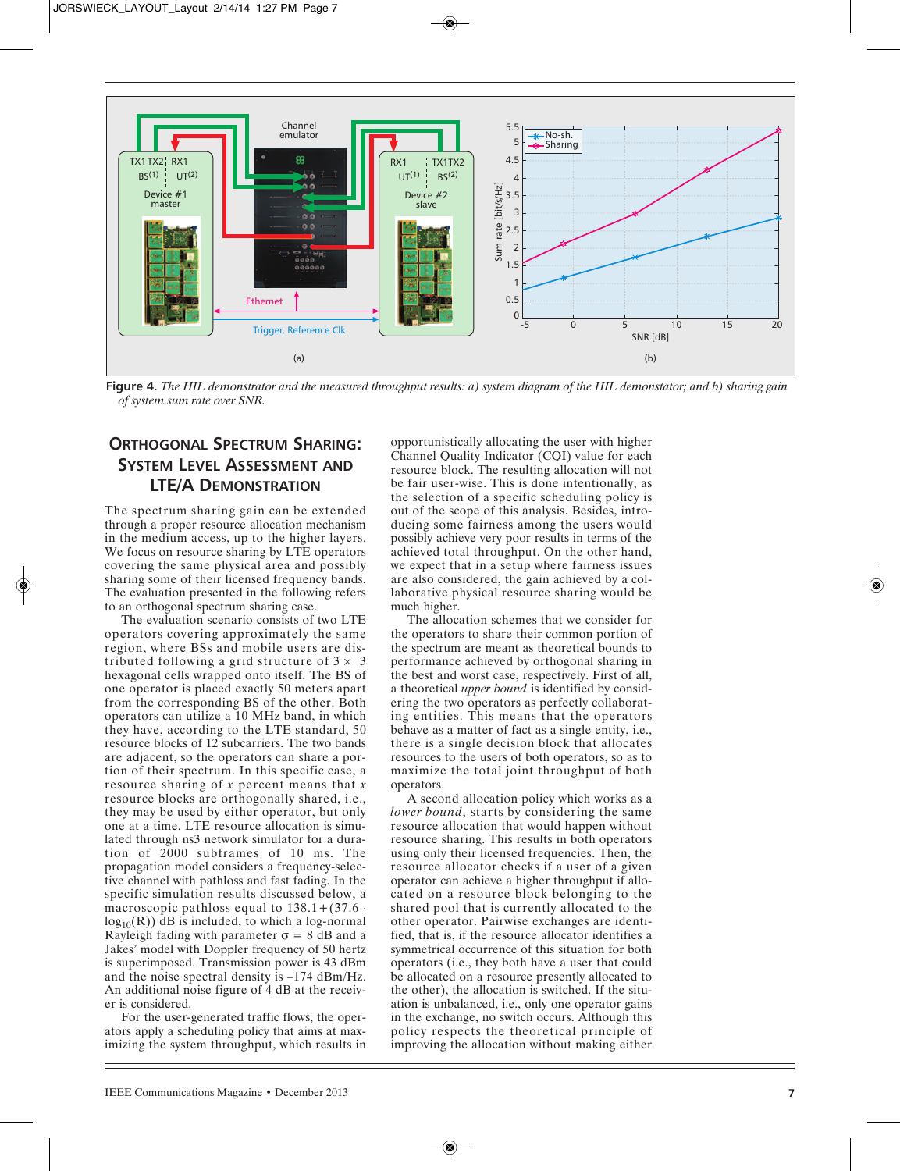

Figure 4. The HIL demonstrator and the measured throughput results: a) system diagram of the HIL demonstator; and b) sharing gain *of system sum rate over SNR.*

# **ORTHOGONAL SPECTRUM SHARING: SYSTEM LEVEL ASSESSMENT AND LTE/A DEMONSTRATION**

The spectrum sharing gain can be extended through a proper resource allocation mechanism in the medium access, up to the higher layers. We focus on resource sharing by LTE operators covering the same physical area and possibly sharing some of their licensed frequency bands. The evaluation presented in the following refers to an orthogonal spectrum sharing case.

The evaluation scenario consists of two LTE operators covering approximately the same region, where BSs and mobile users are distributed following a grid structure of  $3 \times 3$ hexagonal cells wrapped onto itself. The BS of one operator is placed exactly 50 meters apart from the corresponding BS of the other. Both operators can utilize a 10 MHz band, in which they have, according to the LTE standard, 50 resource blocks of 12 subcarriers. The two bands are adjacent, so the operators can share a portion of their spectrum. In this specific case, a resource sharing of *x* percent means that *x* resource blocks are orthogonally shared, i.e., they may be used by either operator, but only one at a time. LTE resource allocation is simulated through ns3 network simulator for a duration of 2000 subframes of 10 ms. The propagation model considers a frequency-selective channel with pathloss and fast fading. In the specific simulation results discussed below, a macroscopic pathloss equal to  $138.1 + (37.6 \cdot$  $log_{10}(R)$ ) dB is included, to which a log-normal Rayleigh fading with parameter  $\sigma = 8$  dB and a Jakes' model with Doppler frequency of 50 hertz is superimposed. Transmission power is 43 dBm and the noise spectral density is –174 dBm/Hz. An additional noise figure of 4 dB at the receiver is considered.

For the user-generated traffic flows, the operators apply a scheduling policy that aims at maximizing the system throughput, which results in opportunistically allocating the user with higher Channel Quality Indicator (CQI) value for each resource block. The resulting allocation will not be fair user-wise. This is done intentionally, as the selection of a specific scheduling policy is out of the scope of this analysis. Besides, introducing some fairness among the users would possibly achieve very poor results in terms of the achieved total throughput. On the other hand, we expect that in a setup where fairness issues are also considered, the gain achieved by a collaborative physical resource sharing would be much higher.

The allocation schemes that we consider for the operators to share their common portion of the spectrum are meant as theoretical bounds to performance achieved by orthogonal sharing in the best and worst case, respectively. First of all, a theoretical *upper bound* is identified by considering the two operators as perfectly collaborating entities. This means that the operators behave as a matter of fact as a single entity, i.e., there is a single decision block that allocates resources to the users of both operators, so as to maximize the total joint throughput of both operators.

A second allocation policy which works as a *lower bound*, starts by considering the same resource allocation that would happen without resource sharing. This results in both operators using only their licensed frequencies. Then, the resource allocator checks if a user of a given operator can achieve a higher throughput if allocated on a resource block belonging to the shared pool that is currently allocated to the other operator. Pairwise exchanges are identified, that is, if the resource allocator identifies a symmetrical occurrence of this situation for both operators (i.e., they both have a user that could be allocated on a resource presently allocated to the other), the allocation is switched. If the situation is unbalanced, i.e., only one operator gains in the exchange, no switch occurs. Although this policy respects the theoretical principle of improving the allocation without making either

◈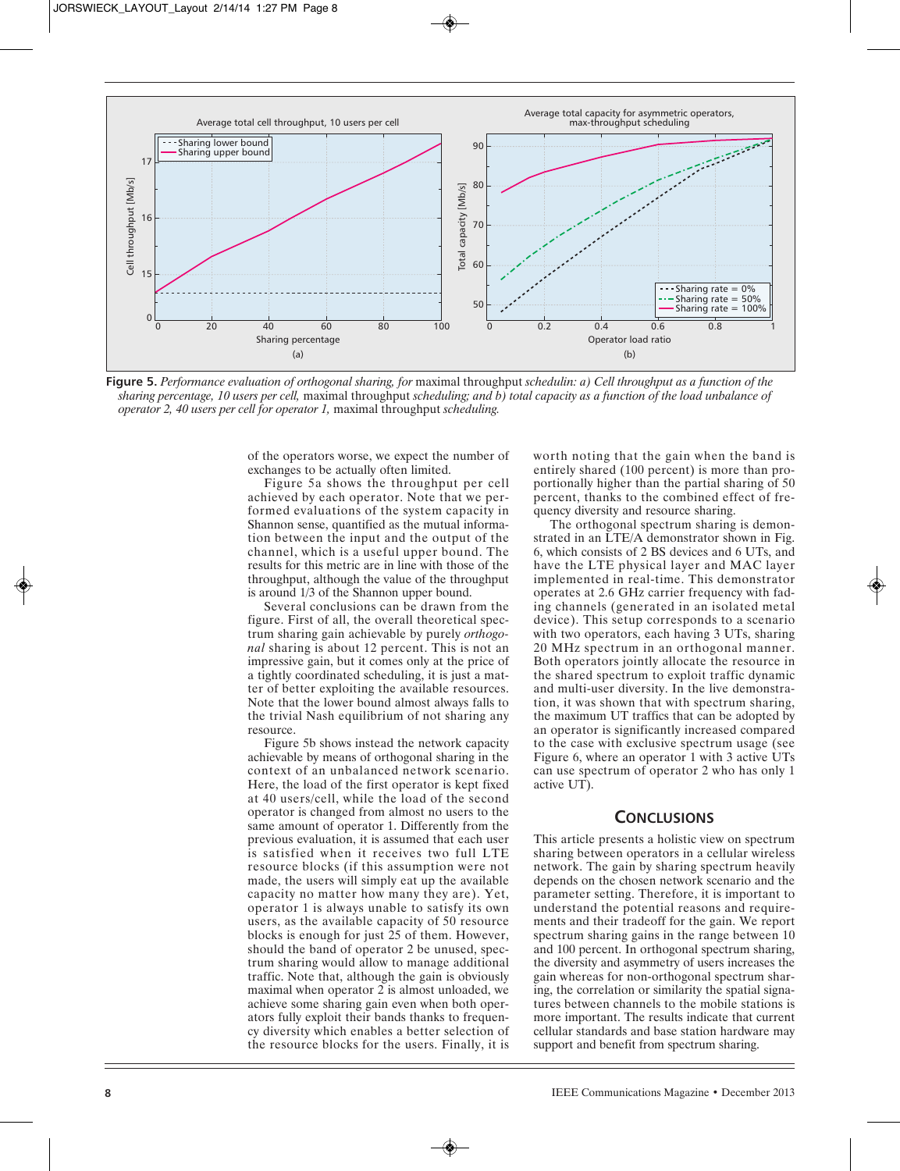

Figure 5. Performance evaluation of orthogonal sharing, for maximal throughput schedulin: a) Cell throughput as a function of the sharing percentage, 10 users per cell, maximal throughput scheduling; and b) total capacity as a function of the load unbalance of *operator 2, 40 users per cell for operator 1,* maximal throughput *scheduling.*

of the operators worse, we expect the number of exchanges to be actually often limited.

Figure 5a shows the throughput per cell achieved by each operator. Note that we performed evaluations of the system capacity in Shannon sense, quantified as the mutual information between the input and the output of the channel, which is a useful upper bound. The results for this metric are in line with those of the throughput, although the value of the throughput is around 1/3 of the Shannon upper bound.

Several conclusions can be drawn from the figure. First of all, the overall theoretical spectrum sharing gain achievable by purely *orthogonal* sharing is about 12 percent. This is not an impressive gain, but it comes only at the price of a tightly coordinated scheduling, it is just a matter of better exploiting the available resources. Note that the lower bound almost always falls to the trivial Nash equilibrium of not sharing any resource.

Figure 5b shows instead the network capacity achievable by means of orthogonal sharing in the context of an unbalanced network scenario. Here, the load of the first operator is kept fixed at 40 users/cell, while the load of the second operator is changed from almost no users to the same amount of operator 1. Differently from the previous evaluation, it is assumed that each user is satisfied when it receives two full LTE resource blocks (if this assumption were not made, the users will simply eat up the available capacity no matter how many they are). Yet, operator 1 is always unable to satisfy its own users, as the available capacity of 50 resource blocks is enough for just 25 of them. However, should the band of operator 2 be unused, spectrum sharing would allow to manage additional traffic. Note that, although the gain is obviously maximal when operator 2 is almost unloaded, we achieve some sharing gain even when both operators fully exploit their bands thanks to frequency diversity which enables a better selection of the resource blocks for the users. Finally, it is worth noting that the gain when the band is entirely shared (100 percent) is more than proportionally higher than the partial sharing of 50 percent, thanks to the combined effect of frequency diversity and resource sharing.

The orthogonal spectrum sharing is demonstrated in an LTE/A demonstrator shown in Fig. 6, which consists of 2 BS devices and 6 UTs, and have the LTE physical layer and MAC layer implemented in real-time. This demonstrator operates at 2.6 GHz carrier frequency with fading channels (generated in an isolated metal device). This setup corresponds to a scenario with two operators, each having 3 UTs, sharing 20 MHz spectrum in an orthogonal manner. Both operators jointly allocate the resource in the shared spectrum to exploit traffic dynamic and multi-user diversity. In the live demonstration, it was shown that with spectrum sharing, the maximum UT traffics that can be adopted by an operator is significantly increased compared to the case with exclusive spectrum usage (see Figure 6, where an operator 1 with 3 active UTs can use spectrum of operator 2 who has only 1 active UT).

## **CONCLUSIONS**

This article presents a holistic view on spectrum sharing between operators in a cellular wireless network. The gain by sharing spectrum heavily depends on the chosen network scenario and the parameter setting. Therefore, it is important to understand the potential reasons and requirements and their tradeoff for the gain. We report spectrum sharing gains in the range between 10 and 100 percent. In orthogonal spectrum sharing, the diversity and asymmetry of users increases the gain whereas for non-orthogonal spectrum sharing, the correlation or similarity the spatial signatures between channels to the mobile stations is more important. The results indicate that current cellular standards and base station hardware may support and benefit from spectrum sharing.